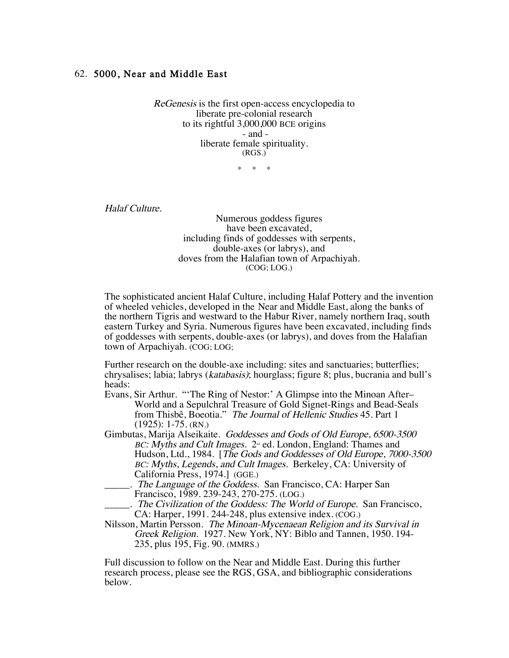## 62. 5000, Near and Middle East

ReGenesis is the first open-access encyclopedia to liberate pre-colonial research to its rightful 3,000,000 BCE origins - and liberate female spirituality. (RGS.)

\* \* \*

Halaf Culture.

Numerous goddess figures have been excavated, including finds of goddesses with serpents, double-axes (or labrys), and doves from the Halafian town of Arpachiyah. (COG; LOG.)

The sophisticated ancient Halaf Culture, including Halaf Pottery and the invention of wheeled vehicles, developed in the Near and Middle East, along the banks of the northern Tigris and westward to the Habur River, namely northern Iraq, south eastern Turkey and Syria. Numerous figures have been excavated, including finds of goddesses with serpents, double-axes (or labrys), and doves from the Halafian town of Arpachiyah. (COG; LOG;

Further research on the double-axe including: sites and sanctuaries; butterflies; chrysalises; labia; labrys (katabasis); hourglass; figure 8; plus, bucrania and bull's heads:

- Evans, Sir Arthur. "'The Ring of Nestor:' A Glimpse into the Minoan After– World and a Sepulchral Treasure of Gold Signet-Rings and Bead-Seals from Thisbê, Boeotia." The Journal of Hellenic Studies 45. Part 1 (1925): 1-75. (RN.)
- Gimbutas, Marija Alseikaite. Goddesses and Gods of Old Europe, 6500-3500  $BC: Myths$  and Cult Images.  $2^{\omega}$  ed. London, England: Thames and Hudson, Ltd., 1984. [The Gods and Goddesses of Old Europe, 7000-3500 BC: Myths, Legends, and Cult Images. Berkeley, CA: University of California Press, 1974.] (GGE.)
	- ... The Language of the Goddess. San Francisco, CA: Harper San Francisco, 1989. 239-243, 270-275. (LOG.)

. The Civilization of the Goddess: The World of Europe. San Francisco, CA: Harper, 1991. 244-248, plus extensive index. (COG.)

Nilsson, Martin Persson. The Minoan-Mycenaean Religion and its Survival in Greek Religion. 1927. New York, NY: Biblo and Tannen, 1950. 194- 235, plus 195, Fig. 90. (MMRS.)

Full discussion to follow on the Near and Middle East. During this further research process, please see the RGS, GSA, and bibliographic considerations below.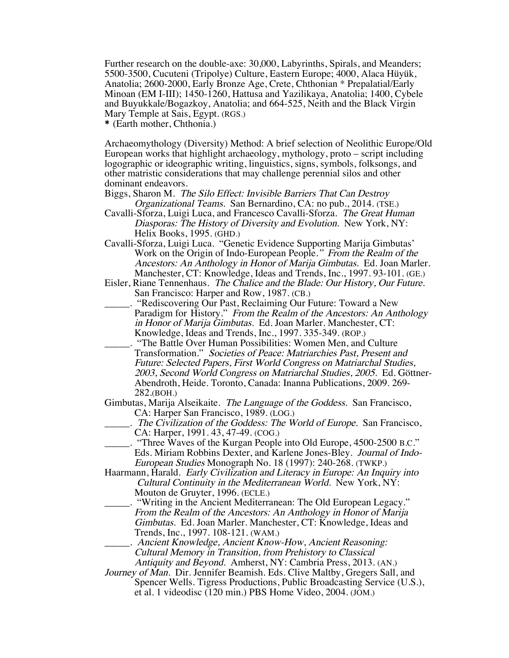Further research on the double-axe: 30,000, Labyrinths, Spirals, and Meanders; 5500-3500, Cucuteni (Tripolye) Culture, Eastern Europe; 4000, Alaca Hüyük, Anatolia; 2600-2000, Early Bronze Age, Crete, Chthonian \* Prepalatial/Early Minoan (EM I-III); 1450-1260, Hattusa and Yazilikaya, Anatolia; 1400, Cybele and Buyukkale/Bogazkoy, Anatolia; and 664-525, Neith and the Black Virgin Mary Temple at Sais, Egypt. (RGS.)

\* (Earth mother, Chthonia.)

Archaeomythology (Diversity) Method: A brief selection of Neolithic Europe/Old European works that highlight archaeology, mythology, proto – script including logographic or ideographic writing, linguistics, signs, symbols, folksongs, and other matristic considerations that may challenge perennial silos and other dominant endeavors.

Biggs, Sharon M. The Silo Effect: Invisible Barriers That Can Destroy Organizational Teams. San Bernardino, CA: no pub., 2014. (TSE.)

- Cavalli-Sforza, Luigi Luca, and Francesco Cavalli-Sforza. The Great Human Diasporas: The History of Diversity and Evolution. New York, NY: Helix Books, 1995. (GHD.)
- Cavalli-Sforza, Luigi Luca. "Genetic Evidence Supporting Marija Gimbutas' Work on the Origin of Indo-European People." From the Realm of the Ancestors: An Anthology in Honor of Marija Gimbutas. Ed. Joan Marler. Manchester, CT: Knowledge, Ideas and Trends, Inc., 1997. 93-101. (GE.)
- Eisler, Riane Tennenhaus. The Chalice and the Blade: Our History, Our Future. San Francisco: Harper and Row, 1987. (CB.)
- \_\_\_\_\_. "Rediscovering Our Past, Reclaiming Our Future: Toward a New Paradigm for History." From the Realm of the Ancestors: An Anthology in Honor of Marija Gimbutas. Ed. Joan Marler. Manchester, CT: Knowledge, Ideas and Trends, Inc., 1997. 335-349. (ROP.)
- \_\_\_\_\_. "The Battle Over Human Possibilities: Women Men, and Culture Transformation." Societies of Peace: Matriarchies Past, Present and Future: Selected Papers, First World Congress on Matriarchal Studies, 2003, Second World Congress on Matriarchal Studies, 2005. Ed. Göttner-Abendroth, Heide. Toronto, Canada: Inanna Publications, 2009. 269- 282.(BOH.)
- Gimbutas, Marija Alseikaite. The Language of the Goddess. San Francisco, CA: Harper San Francisco, 1989. (LOG.)
	- \_\_\_\_\_. The Civilization of the Goddess: The World of Europe. San Francisco, CA: Harper, 1991. 43, 47-49. (COG.)
- \_\_\_\_\_. "Three Waves of the Kurgan People into Old Europe, 4500-2500 B.C." Eds. Miriam Robbins Dexter, and Karlene Jones-Bley. Journal of Indo- European Studies Monograph No. 18 (1997): 240-268. (TWKP.)
- Haarmann, Harald. Early Civilization and Literacy in Europe: An Inquiry into Cultural Continuity in the Mediterranean World. New York, NY: Mouton de Gruyter, 1996. (ECLE.)
	- \_\_\_\_\_. "Writing in the Ancient Mediterranean: The Old European Legacy." From the Realm of the Ancestors: An Anthology in Honor of Marija Gimbutas. Ed. Joan Marler. Manchester, CT: Knowledge, Ideas and Trends, Inc., 1997. 108-121. (WAM.)
	- \_\_\_\_\_. Ancient Knowledge, Ancient Know-How, Ancient Reasoning: Cultural Memory in Transition, from Prehistory to Classical Antiquity and Beyond. Amherst, NY: Cambria Press, 2013. (AN.)
- Journey of Man. Dir. Jennifer Beamish. Eds. Clive Maltby, Gregers Sall, and Spencer Wells. Tigress Productions, Public Broadcasting Service (U.S.), et al. 1 videodisc (120 min.) PBS Home Video, 2004. (JOM.)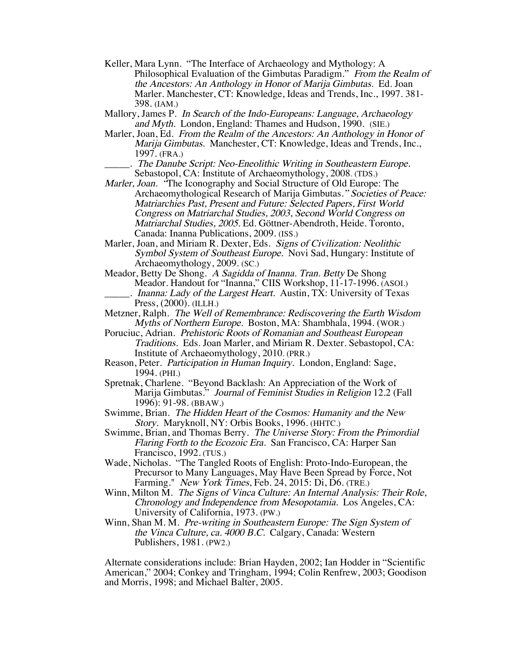- Keller, Mara Lynn. "The Interface of Archaeology and Mythology: A Philosophical Evaluation of the Gimbutas Paradigm." From the Realm of the Ancestors: An Anthology in Honor of Marija Gimbutas. Ed. Joan Marler. Manchester, CT: Knowledge, Ideas and Trends, Inc., 1997. 381- 398. (IAM.)
- Mallory, James P. In Search of the Indo-Europeans: Language, Archaeology and Myth. London, England: Thames and Hudson, 1990. (SIE.)
- Marler, Joan, Ed. From the Realm of the Ancestors: An Anthology in Honor of Marija Gimbutas. Manchester, CT: Knowledge, Ideas and Trends, Inc., 1997. (FRA.)
- \_\_\_\_\_. The Danube Script: Neo-Eneolithic Writing in Southeastern Europe. Sebastopol, CA: Institute of Archaeomythology, 2008. (TDS.)
- Marler, Joan. "The Iconography and Social Structure of Old Europe: The Archaeomythological Research of Marija Gimbutas." Societies of Peace: Matriarchies Past, Present and Future: Selected Papers, First World Congress on Matriarchal Studies, 2003, Second World Congress on Matriarchal Studies, 2005. Ed. Göttner-Abendroth, Heide. Toronto, Canada: Inanna Publications, 2009. (ISS.)
- Marler, Joan, and Miriam R. Dexter, Eds. Signs of Civilization: Neolithic Symbol System of Southeast Europe. Novi Sad, Hungary: Institute of Archaeomythology, 2009. (SC.)
- Meador, Betty De Shong. A Sagidda of Inanna. Tran. Betty De Shong Meador. Handout for "Inanna," CIIS Workshop, 11-17-1996. (ASOI.) . Inanna: Lady of the Largest Heart. Austin, TX: University of Texas Press, (2000). (ILLH.)
- Metzner, Ralph. The Well of Remembrance: Rediscovering the Earth Wisdom Myths of Northern Europe. Boston, MA: Shambhala, 1994. (WOR.)
- Poruciuc, Adrian. Prehistoric Roots of Romanian and Southeast European Traditions. Eds. Joan Marler, and Miriam R. Dexter. Sebastopol, CA: Institute of Archaeomythology, 2010. (PRR.)
- Reason, Peter. Participation in Human Inquiry. London, England: Sage, 1994. (PHI.)
- Spretnak, Charlene. "Beyond Backlash: An Appreciation of the Work of Marija Gimbutas." Journal of Feminist Studies in Religion 12.2 (Fall 1996): 91-98. (BBAW.)
- Swimme, Brian. The Hidden Heart of the Cosmos: Humanity and the New Story. Maryknoll, NY: Orbis Books, 1996. (HHTC.)
- Swimme, Brian, and Thomas Berry. The Universe Story: From the Primordial Flaring Forth to the Ecozoic Era. San Francisco, CA: Harper San Francisco, 1992. (TUS.)
- Wade, Nicholas. "The Tangled Roots of English: Proto-Indo-European, the Precursor to Many Languages, May Have Been Spread by Force, Not Farming." *New York Times*, Feb. 24, 2015: Di, D6. (TRE.)
- Winn, Milton M. The Signs of Vinca Culture: An Internal Analysis: Their Role, Chronology and Independence from Mesopotamia. Los Angeles, CA: University of California, 1973. (PW.)
- Winn, Shan M. M. Pre-writing in Southeastern Europe: The Sign System of the Vinca Culture, ca. 4000 B.C. Calgary, Canada: Western Publishers, 1981. (PW2.)

Alternate considerations include: Brian Hayden, 2002; Ian Hodder in "Scientific American," 2004; Conkey and Tringham, 1994; Colin Renfrew, 2003; Goodison and Morris, 1998; and Michael Balter, 2005.